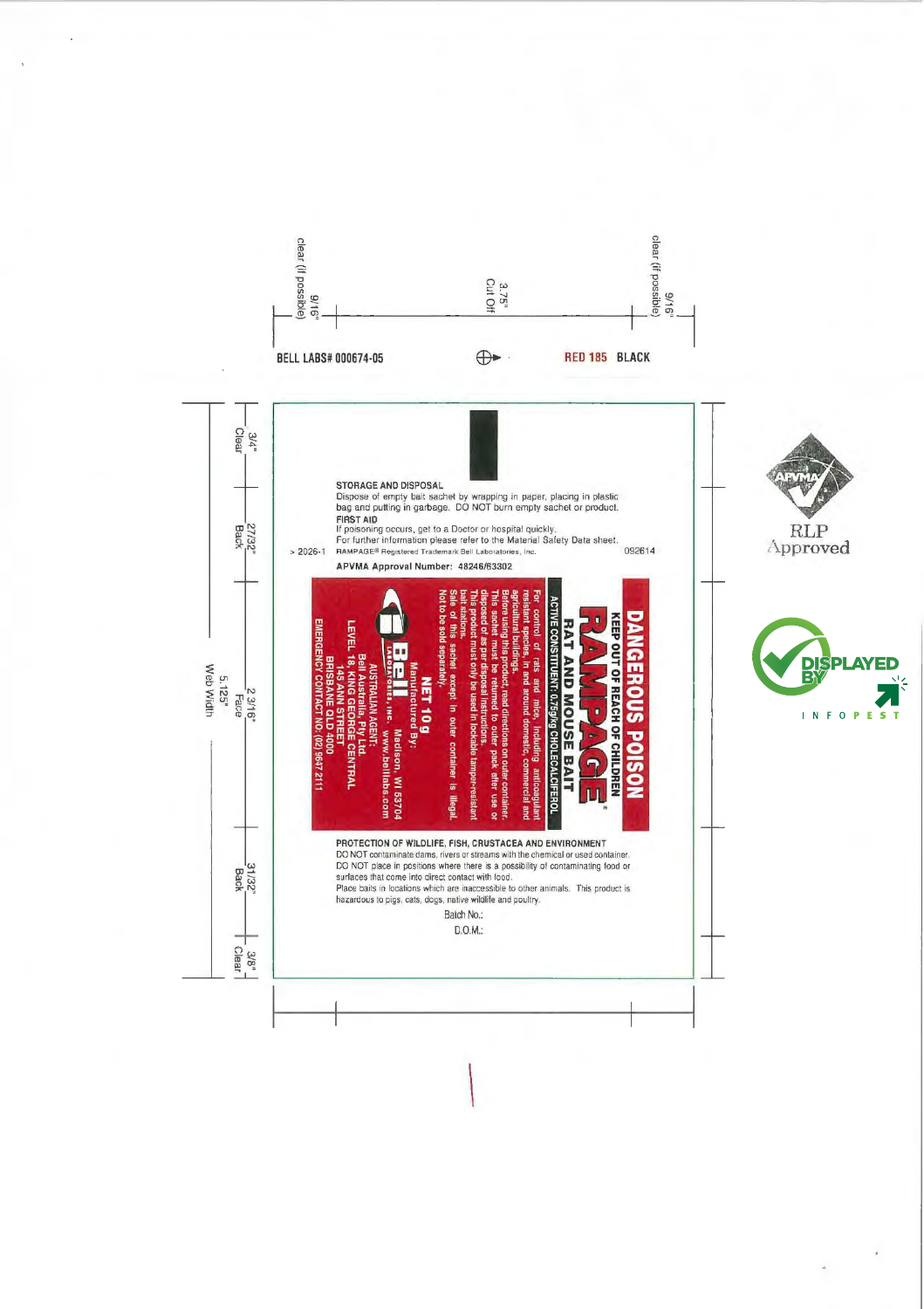

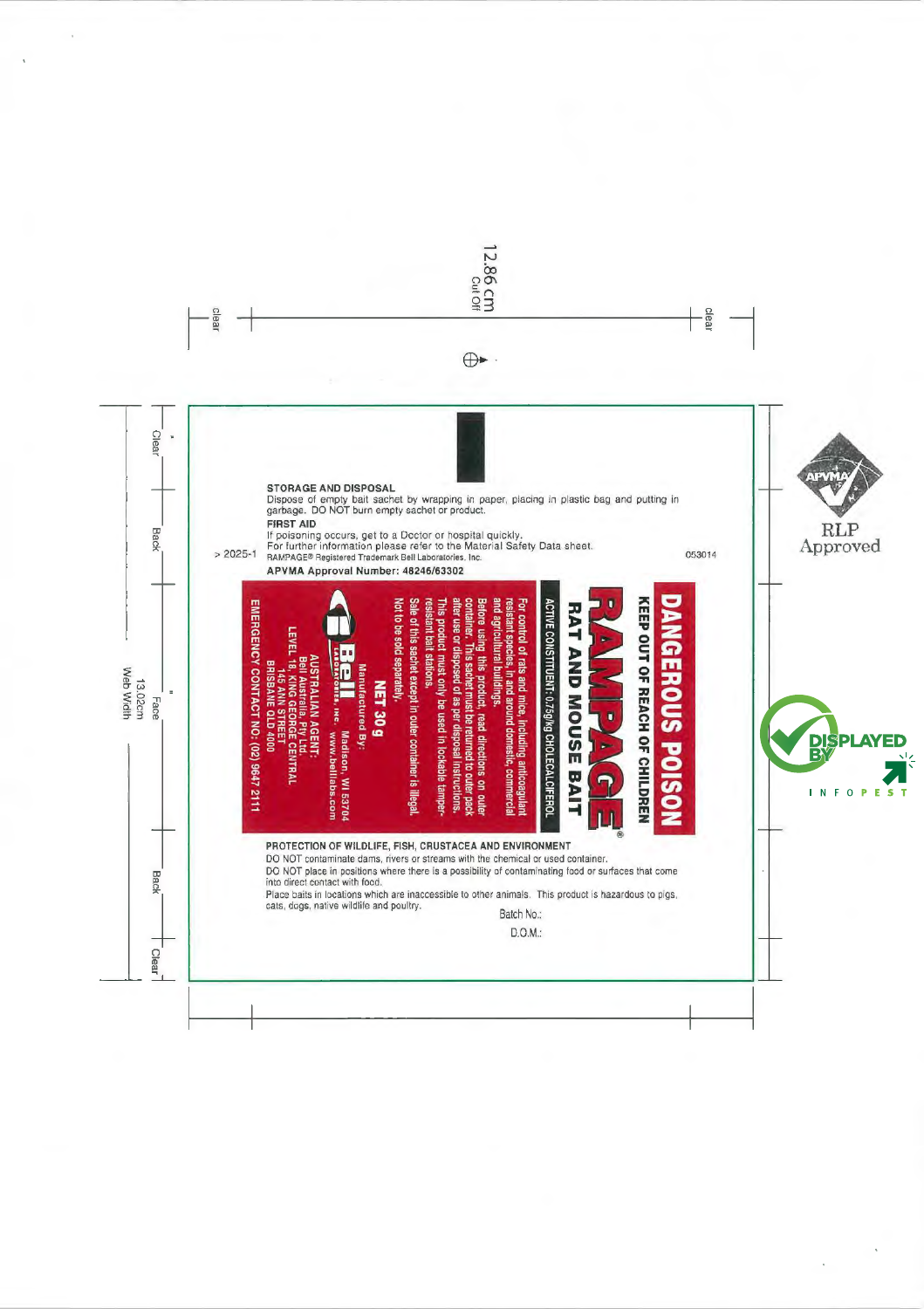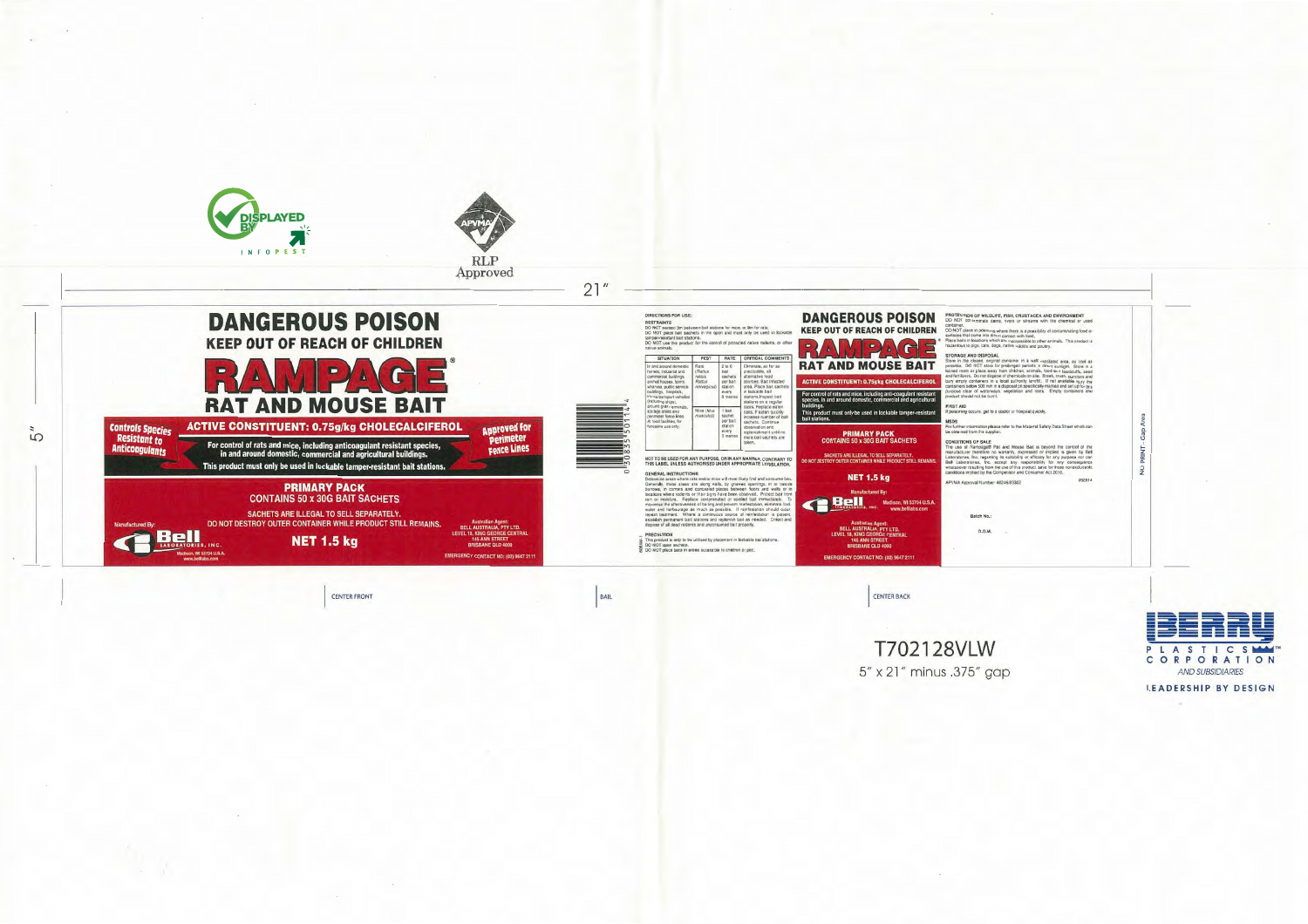

**CENTER FRONT** 

BAIL

CENTER BACK

T702128VLW 5" x 21" minus .375" gap

PROTECTION OF WILDLIFE, FISH, CRUSTACEA AND ENVIRONMENT<br>DO NOT contaminate dams, rivers or streams with the chemical or used

container.<br>DO NOT place in positions where there is a possibility of contaminating food or that come into direc

ous lo pigs, cals, dogs,

STORAGE AND DISPOSAL<br>Store in the closing container in a well-vanilated area, as cool as<br>possible. DO NOT store for prolonger penods in direct sunlight. Store in a<br>possible. DO NOT store for prolonger penods in direct sunl pose clear of waterways,<br>pose clear of waterways, and roots. Emoty

soning occurs, get to a doct

**CONDITIONS OF SALE**<br>The use of Rampagn® Rai and Mouse Bait is beyond the control of the<br>manufacturer therefore no warranty, expressed or implied is given by Bell<br>Laboratores, the regarding its suitably or effices for onl

 $\frac{Q}{Z}$ 

APVMA Approval Number: 48246/63302

Batch No.:  $0.0.M.$